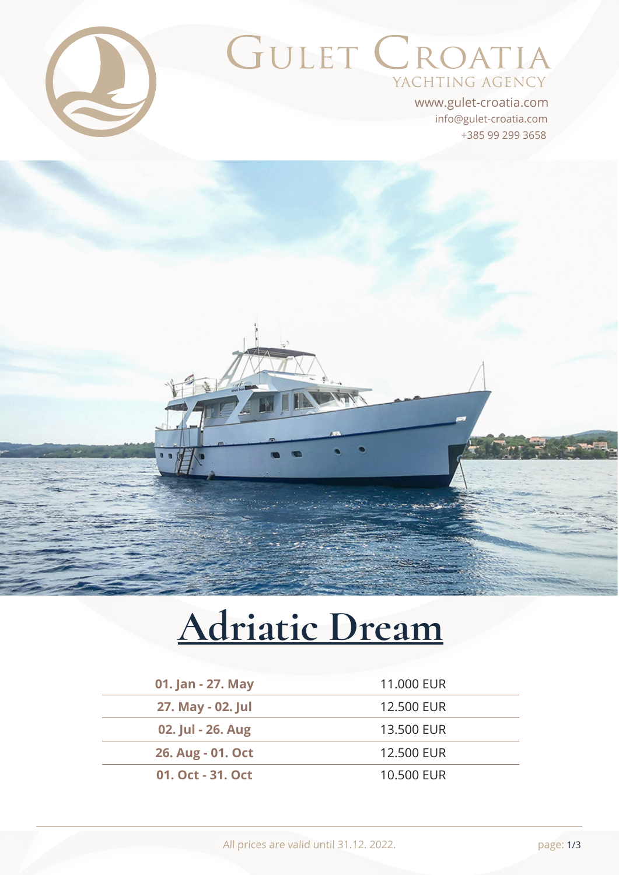

# GULET CROATIA YACHTING AGENCY

+385 99 299 3658 info@gulet-croatia.com www.gulet-croatia.com

# **[Adriatic Dream](https://www.gulet-croatia.com/motor-yacht-cruise-croatia/my-adriatic-dream)**

| 01. Jan - 27. May | 11,000 EUR |
|-------------------|------------|
| 27. May - 02. Jul | 12,500 EUR |
| 02. Jul - 26. Aug | 13,500 EUR |
| 26. Aug - 01. Oct | 12,500 EUR |
| 01. Oct - 31. Oct | 10,500 EUR |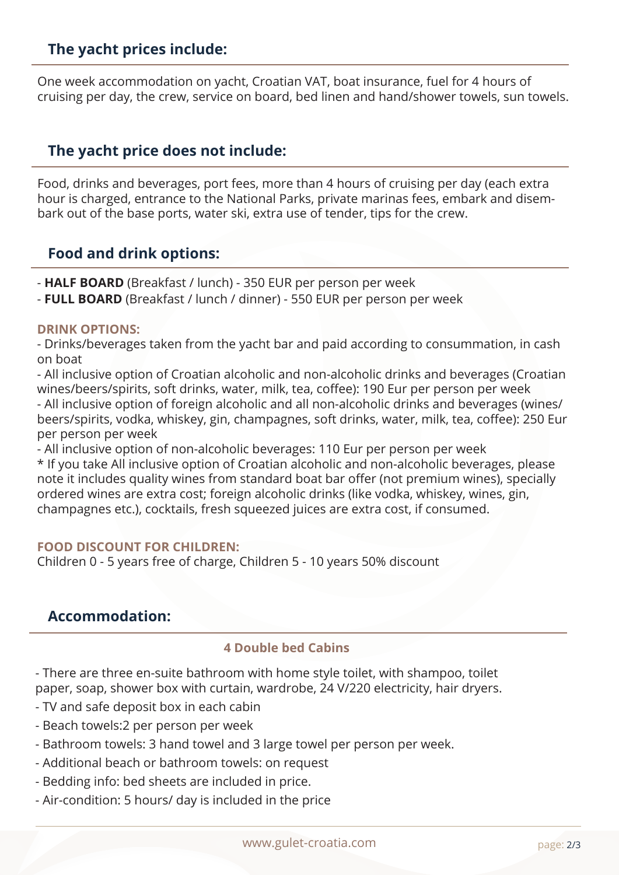#### **The yacht prices include:**

One week accommodation on yacht, Croatian VAT, boat insurance, fuel for 4 hours of cruising per day, the crew, service on board, bed linen and hand/shower towels, sun towels.

# **The yacht price does not include:**

Food, drinks and beverages, port fees, more than 4 hours of cruising per day (each extra hour is charged, entrance to the National Parks, private marinas fees, embark and disembark out of the base ports, water ski, extra use of tender, tips for the crew.

#### **Food and drink options:**

- **HALF BOARD** (Breakfast / lunch) 350 EUR per person per week
- **FULL BOARD** (Breakfast / lunch / dinner) 550 EUR per person per week

#### **DRINK OPTIONS:**

- Drinks/beverages taken from the yacht bar and paid according to consummation, in cash on boat

- All inclusive option of Croatian alcoholic and non-alcoholic drinks and beverages (Croatian wines/beers/spirits, soft drinks, water, milk, tea, coffee): 190 Eur per person per week - All inclusive option of foreign alcoholic and all non-alcoholic drinks and beverages (wines/ beers/spirits, vodka, whiskey, gin, champagnes, soft drinks, water, milk, tea, coffee): 250 Eur per person per week

- All inclusive option of non-alcoholic beverages: 110 Eur per person per week \* If you take All inclusive option of Croatian alcoholic and non-alcoholic beverages, please note it includes quality wines from standard boat bar offer (not premium wines), specially ordered wines are extra cost; foreign alcoholic drinks (like vodka, whiskey, wines, gin, champagnes etc.), cocktails, fresh squeezed juices are extra cost, if consumed.

#### **FOOD DISCOUNT FOR CHILDREN:**

Children 0 - 5 years free of charge, Children 5 - 10 years 50% discount

#### **Accommodation:**

#### **4 Double bed Cabins**

- There are three en-suite bathroom with home style toilet, with shampoo, toilet paper, soap, shower box with curtain, wardrobe, 24 V/220 electricity, hair dryers.

- TV and safe deposit box in each cabin
- Beach towels:2 per person per week
- Bathroom towels: 3 hand towel and 3 large towel per person per week.
- Additional beach or bathroom towels: on request
- Bedding info: bed sheets are included in price.
- Air-condition: 5 hours/ day is included in the price